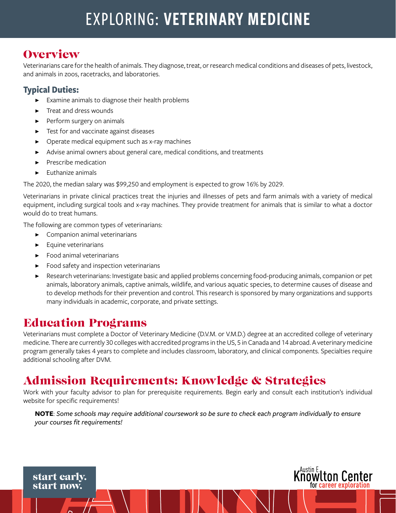# EXPLORING: VETERINARY MEDICINE

## **Overview**

Veterinarians care for the health of animals. They diagnose, treat, or research medical conditions and diseases of pets, livestock, and animals in zoos, racetracks, and laboratories.

#### **Typical Duties:**

- Examine animals to diagnose their health problems
- Treat and dress wounds
- Perform surgery on animals
- Test for and vaccinate against diseases
- Operate medical equipment such as x-ray machines
- Advise animal owners about general care, medical conditions, and treatments
- ▶ Prescribe medication
- **Euthanize animals**

The 2020, the median salary was \$99,250 and employment is expected to grow 16% by 2029.

Veterinarians in private clinical practices treat the injuries and illnesses of pets and farm animals with a variety of medical equipment, including surgical tools and x-ray machines. They provide treatment for animals that is similar to what a doctor would do to treat humans.

The following are common types of veterinarians:

- ▶ Companion animal veterinarians
- **Equine veterinarians**
- ▶ Food animal veterinarians
- ▶ Food safety and inspection veterinarians
- Research veterinarians: Investigate basic and applied problems concerning food-producing animals, companion or pet animals, laboratory animals, captive animals, wildlife, and various aquatic species, to determine causes of disease and to develop methods for their prevention and control. This research is sponsored by many organizations and supports many individuals in academic, corporate, and private settings.

### Education Programs

Veterinarians must complete a Doctor of Veterinary Medicine (D.V.M. or V.M.D.) degree at an accredited college of veterinary medicine. There are currently 30 colleges with accredited programs in the US, 5 in Canada and 14 abroad. A veterinary medicine program generally takes 4 years to complete and includes classroom, laboratory, and clinical components. Specialties require additional schooling after DVM.

# Admission Requirements: Knowledge & Strategies

Work with your faculty advisor to plan for prerequisite requirements. Begin early and consult each institution's individual website for specific requirements!

**NOTE**: *Some schools may require additional coursework so be sure to check each program individually to ensure your courses fit requirements!*



start early. start now.